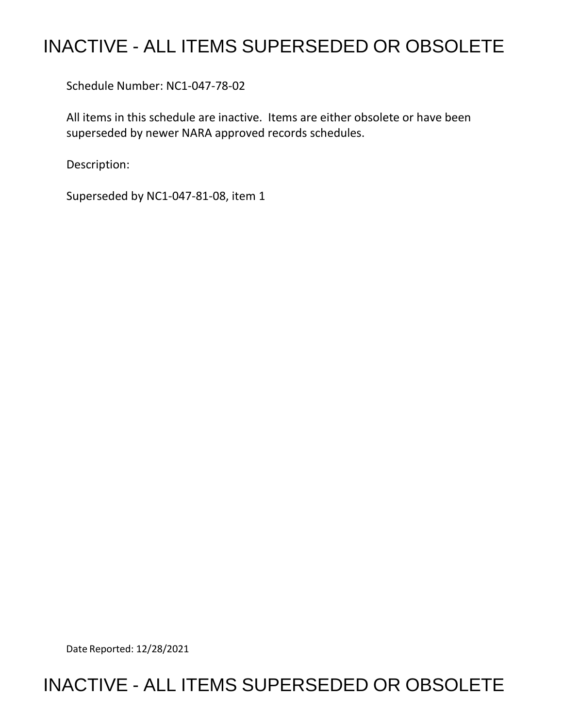## INACTIVE - ALL ITEMS SUPERSEDED OR OBSOLETE

Schedule Number: NC1-047-78-02

 All items in this schedule are inactive. Items are either obsolete or have been superseded by newer NARA approved records schedules.

Description:

Superseded by NC1-047-81-08, item 1

Date Reported: 12/28/2021

## INACTIVE - ALL ITEMS SUPERSEDED OR OBSOLETE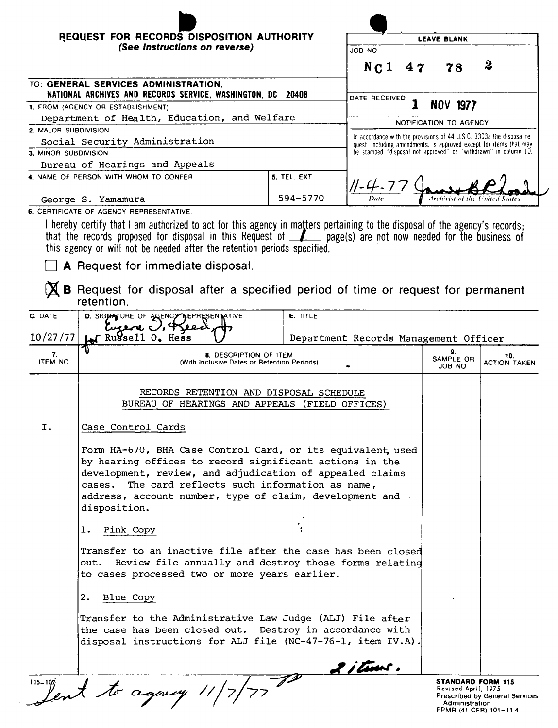| REQUEST FOR RECORDS DISPOSITION AUTHORITY                                                           |                 | <b>LEAVE BLANK</b>                                                                                                                          |    |    |                                |
|-----------------------------------------------------------------------------------------------------|-----------------|---------------------------------------------------------------------------------------------------------------------------------------------|----|----|--------------------------------|
| (See Instructions on reverse)                                                                       |                 | JOB NO.                                                                                                                                     |    |    |                                |
|                                                                                                     |                 | N <sub>C</sub> 1                                                                                                                            | 47 | 78 | $\boldsymbol{2}$               |
| TO: GENERAL SERVICES ADMINISTRATION,<br>NATIONAL ARCHIVES AND RECORDS SERVICE, WASHINGTON, DC 20408 |                 | DATE RECEIVED                                                                                                                               |    |    |                                |
| 1. FROM (AGENCY OR ESTABLISHMENT)                                                                   | <b>NOV 1977</b> |                                                                                                                                             |    |    |                                |
| Department of Health, Education, and Welfare                                                        |                 | NOTIFICATION TO AGENCY                                                                                                                      |    |    |                                |
| 2. MAJOR SUBDIVISION<br>Social Security Administration                                              |                 | In accordance with the provisions of 44 U.S.C. 3303a the disposal re-<br>quest, including amendments, is approved except for items that may |    |    |                                |
|                                                                                                     |                 |                                                                                                                                             |    |    |                                |
| Bureau of Hearings and Appeals                                                                      |                 |                                                                                                                                             |    |    |                                |
| 4. NAME OF PERSON WITH WHOM TO CONFER                                                               | 5. TEL. EXT.    |                                                                                                                                             |    |    |                                |
| George S. Yamamura                                                                                  | 594-5770        | Date                                                                                                                                        |    |    | Archivist of the United States |
| <b>6 CERTIFICATE OF ACENCY REPRESENTATIVE.</b>                                                      |                 |                                                                                                                                             |    |    |                                |

I hereby certify that I am authorized to act for this agency in matters pertaining to the disposal of the agency's records;<br>that the records proposed for disposal in this Request of <u>example</u> page(s) are not now needed for

A Request for immediate disposal.

 $\chi$  B Request for disposal after a specified period of time or request for permanent retention.

| C. DATE        | D. SIGNATURE OF AGENCY REPRESENTATIVE<br>Cucene U, Deed                                                                                                                                                                                                                                                              | E. TITLE                              |                                                                   |                                       |  |  |  |
|----------------|----------------------------------------------------------------------------------------------------------------------------------------------------------------------------------------------------------------------------------------------------------------------------------------------------------------------|---------------------------------------|-------------------------------------------------------------------|---------------------------------------|--|--|--|
| 10/27/77       | Trussell 0. Hess                                                                                                                                                                                                                                                                                                     | Department Records Management Officer |                                                                   |                                       |  |  |  |
| 7.<br>ITEM NO. | 8. DESCRIPTION OF ITEM<br>(With Inclusive Dates or Retention Periods)                                                                                                                                                                                                                                                |                                       | 9.<br>SAMPLE OR<br>JOB NO.                                        | 10.<br><b>ACTION TAKEN</b>            |  |  |  |
|                | RECORDS RETENTION AND DISPOSAL SCHEDULE<br>BUREAU OF HEARINGS AND APPEALS (FIELD OFFICES)                                                                                                                                                                                                                            |                                       |                                                                   |                                       |  |  |  |
| I.             | Case Control Cards                                                                                                                                                                                                                                                                                                   |                                       |                                                                   |                                       |  |  |  |
|                | Form HA-670, BHA Case Control Card, or its equivalent, used<br>by hearing offices to record significant actions in the<br>development, review, and adjudication of appealed claims<br>cases. The card reflects such information as name,<br>address, account number, type of claim, development and.<br>disposition. |                                       |                                                                   |                                       |  |  |  |
|                | Pink Copy<br>$\mathbf{1}$ .                                                                                                                                                                                                                                                                                          |                                       |                                                                   |                                       |  |  |  |
|                | Transfer to an inactive file after the case has been closed<br>out. Review file annually and destroy those forms relating<br>to cases processed two or more years earlier.                                                                                                                                           |                                       |                                                                   |                                       |  |  |  |
|                | 2.<br>Blue Copy                                                                                                                                                                                                                                                                                                      |                                       |                                                                   |                                       |  |  |  |
|                | Transfer to the Administrative Law Judge (ALJ) File after<br>the case has been closed out. Destroy in accordance with<br>disposal instructions for ALJ file (NC-47-76-1, item IV.A).                                                                                                                                 |                                       |                                                                   |                                       |  |  |  |
|                |                                                                                                                                                                                                                                                                                                                      | 2 i tuus.                             |                                                                   |                                       |  |  |  |
| $115 - 107$    | lent to agency                                                                                                                                                                                                                                                                                                       |                                       | <b>STANDARD FORM 115</b><br>Revised April, 1975<br>Administration | <b>Prescribed by General Services</b> |  |  |  |

Administration<br>FPMR (41 CFR) 101-11.4